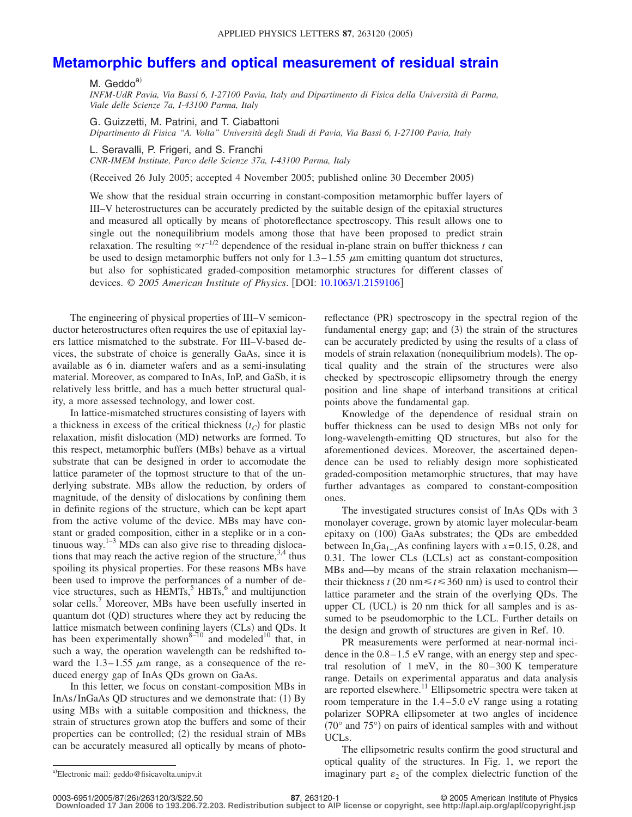## **[Metamorphic buffers and optical measurement of residual strain](http://dx.doi.org/10.1063/1.2159106)**

M. Geddo<sup>a)</sup>

*INFM-UdR Pavia, Via Bassi 6, I-27100 Pavia, Italy and Dipartimento di Fisica della Università di Parma, Viale delle Scienze 7a, I-43100 Parma, Italy*

G. Guizzetti, M. Patrini, and T. Ciabattoni *Dipartimento di Fisica "A. Volta" Università degli Studi di Pavia, Via Bassi 6, I-27100 Pavia, Italy*

L. Seravalli, P. Frigeri, and S. Franchi *CNR-IMEM Institute, Parco delle Scienze 37a, I-43100 Parma, Italy*

Received 26 July 2005; accepted 4 November 2005; published online 30 December 2005-

We show that the residual strain occurring in constant-composition metamorphic buffer layers of III–V heterostructures can be accurately predicted by the suitable design of the epitaxial structures and measured all optically by means of photoreflectance spectroscopy. This result allows one to single out the nonequilibrium models among those that have been proposed to predict strain relaxation. The resulting  $\alpha t^{-1/2}$  dependence of the residual in-plane strain on buffer thickness *t* can be used to design metamorphic buffers not only for  $1.3-1.55 \mu m$  emitting quantum dot structures, but also for sophisticated graded-composition metamorphic structures for different classes of devices. © *2005 American Institute of Physics*. DOI: [10.1063/1.2159106](http://dx.doi.org/10.1063/1.2159106)

The engineering of physical properties of III–V semiconductor heterostructures often requires the use of epitaxial layers lattice mismatched to the substrate. For III–V-based devices, the substrate of choice is generally GaAs, since it is available as 6 in. diameter wafers and as a semi-insulating material. Moreover, as compared to InAs, InP, and GaSb, it is relatively less brittle, and has a much better structural quality, a more assessed technology, and lower cost.

In lattice-mismatched structures consisting of layers with a thickness in excess of the critical thickness  $(t_C)$  for plastic relaxation, misfit dislocation (MD) networks are formed. To this respect, metamorphic buffers (MBs) behave as a virtual substrate that can be designed in order to accomodate the lattice parameter of the topmost structure to that of the underlying substrate. MBs allow the reduction, by orders of magnitude, of the density of dislocations by confining them in definite regions of the structure, which can be kept apart from the active volume of the device. MBs may have constant or graded composition, either in a steplike or in a continuous way. $1-3$  MDs can also give rise to threading dislocations that may reach the active region of the structure,  $3,4$  thus spoiling its physical properties. For these reasons MBs have been used to improve the performances of a number of device structures, such as  $\widehat{H}$ EMTs,<sup>5</sup> HBTs,<sup>6</sup> and multijunction solar cells.<sup>7</sup> Moreover, MBs have been usefully inserted in quantum dot (QD) structures where they act by reducing the lattice mismatch between confining layers (CLs) and QDs. It has been experimentally shown<sup>8–10</sup> and modeled<sup>10</sup> that, in such a way, the operation wavelength can be redshifted toward the  $1.3-1.55 \mu m$  range, as a consequence of the reduced energy gap of InAs QDs grown on GaAs.

In this letter, we focus on constant-composition MBs in InAs/InGaAs QD structures and we demonstrate that: (1) By using MBs with a suitable composition and thickness, the strain of structures grown atop the buffers and some of their properties can be controlled; (2) the residual strain of MBs can be accurately measured all optically by means of photo-

reflectance (PR) spectroscopy in the spectral region of the fundamental energy gap; and (3) the strain of the structures can be accurately predicted by using the results of a class of models of strain relaxation (nonequilibrium models). The optical quality and the strain of the structures were also checked by spectroscopic ellipsometry through the energy position and line shape of interband transitions at critical points above the fundamental gap.

Knowledge of the dependence of residual strain on buffer thickness can be used to design MBs not only for long-wavelength-emitting QD structures, but also for the aforementioned devices. Moreover, the ascertained dependence can be used to reliably design more sophisticated graded-composition metamorphic structures, that may have further advantages as compared to constant-composition ones.

The investigated structures consist of InAs QDs with 3 monolayer coverage, grown by atomic layer molecular-beam epitaxy on (100) GaAs substrates; the QDs are embedded between In<sub>x</sub>Ga<sub>1−*x*</sub>As confining layers with  $x=0.15$ , 0.28, and 0.31. The lower CLs (LCLs) act as constant-composition MBs and—by means of the strain relaxation mechanism their thickness  $t$  (20 nm  $\le t \le 360$  nm) is used to control their lattice parameter and the strain of the overlying QDs. The upper CL (UCL) is 20 nm thick for all samples and is assumed to be pseudomorphic to the LCL. Further details on the design and growth of structures are given in Ref. 10.

PR measurements were performed at near-normal incidence in the 0.8–1.5 eV range, with an energy step and spectral resolution of 1 meV, in the 80–300 K temperature range. Details on experimental apparatus and data analysis are reported elsewhere.<sup>11</sup> Ellipsometric spectra were taken at room temperature in the 1.4–5.0 eV range using a rotating polarizer SOPRA ellipsometer at two angles of incidence  $(70^{\circ}$  and  $75^{\circ})$  on pairs of identical samples with and without UCLs.

The ellipsometric results confirm the good structural and optical quality of the structures. In Fig. 1, we report the imaginary part  $\varepsilon_2$  of the complex dielectric function of the

Electronic mail: geddo@fisicavolta.unipv.it

**<sup>87</sup>**, 263120-1 © 2005 American Institute of Physics

**Downloaded 17 Jan 2006 to 193.206.72.203. Redistribution subject to AIP license or copyright, see http://apl.aip.org/apl/copyright.jsp**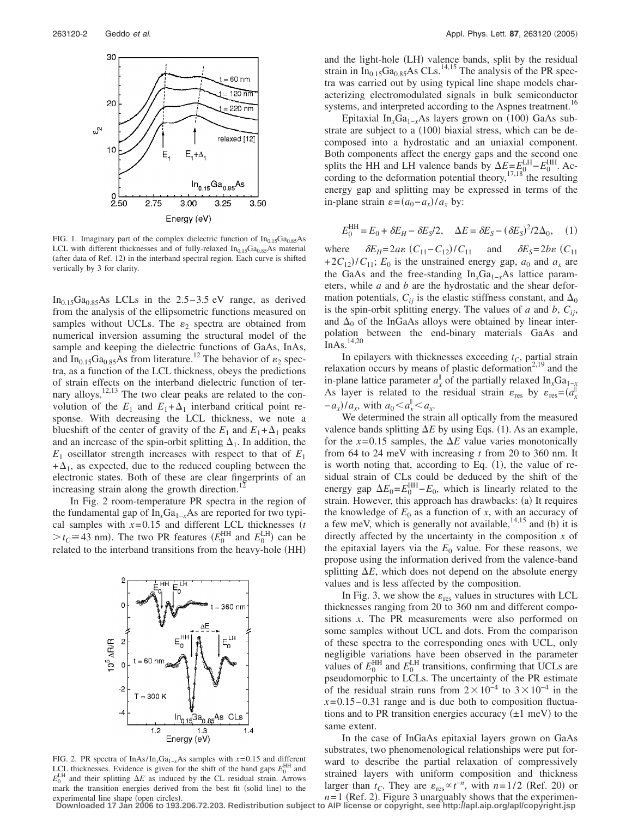

FIG. 1. Imaginary part of the complex dielectric function of  $In<sub>0.15</sub>Ga<sub>0.85</sub>As$ LCL with different thicknesses and of fully-relaxed  $In<sub>0.15</sub>Ga<sub>0.85</sub>As material$ (after data of Ref. 12) in the interband spectral region. Each curve is shifted vertically by 3 for clarity.

 $In<sub>0.15</sub>Ga<sub>0.85</sub>As LCLs in the 2.5–3.5 eV range, as derived$ from the analysis of the ellipsometric functions measured on samples without UCLs. The  $\varepsilon_2$  spectra are obtained from numerical inversion assuming the structural model of the sample and keeping the dielectric functions of GaAs, InAs, and  $In_{0.15}Ga_{0.85}As$  from literature.<sup>12</sup> The behavior of  $\varepsilon_2$  spectra, as a function of the LCL thickness, obeys the predictions of strain effects on the interband dielectric function of ternary alloys.<sup>12,13</sup> The two clear peaks are related to the convolution of the  $E_1$  and  $E_1 + \Delta_1$  interband critical point response. With decreasing the LCL thickness, we note a blueshift of the center of gravity of the  $E_1$  and  $E_1 + \Delta_1$  peaks and an increase of the spin-orbit splitting  $\Delta_1$ . In addition, the  $E_1$  oscillator strength increases with respect to that of  $E_1$  $+\Delta_1$ , as expected, due to the reduced coupling between the electronic states. Both of these are clear fingerprints of an increasing strain along the growth direction.

In Fig. 2 room-temperature PR spectra in the region of the fundamental gap of In<sub>x</sub>Ga<sub>1−*x*</sub>As are reported for two typical samples with *x*=0.15 and different LCL thicknesses *t*  $>t_c \approx 43$  nm). The two PR features  $(E_0^{\text{HH}}$  and  $E_0^{\text{LH}}$  can be related to the interband transitions from the heavy-hole (HH)



FIG. 2. PR spectra of InAs/In<sub>*x*</sub>Ga<sub>1−*x*</sub>As samples with *x*=0.15 and different LCL thicknesses. Evidence is given for the shift of the band gaps  $E_0^{\text{HH}}$  and  $E_0^L$  $H$  and their splitting  $\Delta E$  as induced by the CL residual strain. Arrows mark the transition energies derived from the best fit (solid line) to the experimental line shape (open circles).

and the light-hole (LH) valence bands, split by the residual strain in  $In_{0.15}Ga_{0.85}As$  CLs.<sup>14,15</sup> The analysis of the PR spectra was carried out by using typical line shape models characterizing electromodulated signals in bulk semiconductor systems, and interpreted according to the Aspnes treatment.<sup>16</sup>

Epitaxial In<sub>x</sub>Ga<sub>1−x</sub>As layers grown on (100) GaAs substrate are subject to a (100) biaxial stress, which can be decomposed into a hydrostatic and an uniaxial component. Both components affect the energy gaps and the second one splits the HH and LH valence bands by  $\Delta E = E_{10}^{\text{LH}} - E_0^{\text{HH}}$ . According to the deformation potential theory,  $17,18^{\circ}$  the resulting energy gap and splitting may be expressed in terms of the in-plane strain  $\varepsilon = (a_0 - a_x)/a_x$  by:

$$
E_0^{\text{HH}} = E_0 + \delta E_H - \delta E_S / 2, \quad \Delta E = \delta E_S - (\delta E_S)^2 / 2\Delta_0, \quad (1)
$$

where  $\delta E_H = 2a\varepsilon (C_{11} - C_{12})/C_{11}$  and  $\delta E_S = 2b\varepsilon (C_{11}$  $+2C_{12}/C_{11}$ ;  $E_0$  is the unstrained energy gap,  $a_0$  and  $a_x$  are the GaAs and the free-standing In<sub>x</sub>Ga<sub>1−*x*</sub>As lattice parameters, while *a* and *b* are the hydrostatic and the shear deformation potentials,  $C_{ii}$  is the elastic stiffness constant, and  $\Delta_0$ is the spin-orbit splitting energy. The values of *a* and *b*,  $C_{ii}$ , and  $\Delta_0$  of the InGaAs alloys were obtained by linear interpolation between the end-binary materials GaAs and InAs.14,20

In epilayers with thicknesses exceeding  $t_C$ , partial strain relaxation occurs by means of plastic deformation<sup>2,19</sup> and the in-plane lattice parameter  $a_x^{\parallel}$  of the partially relaxed In<sub>x</sub>Ga<sub>1-*x*</sub> As layer is related to the residual strain  $\varepsilon_{\text{res}}$  by  $\varepsilon_{\text{res}} = (a_x^{\dagger})$  $-a_x$ / $a_x$ , with  $a_0 < a_x$ <sup> $\le a_x$ </sup>.

We determined the strain all optically from the measured valence bands splitting  $\Delta E$  by using Eqs. (1). As an example, for the  $x=0.15$  samples, the  $\Delta E$  value varies monotonically from 64 to 24 meV with increasing *t* from 20 to 360 nm. It is worth noting that, according to Eq.  $(1)$ , the value of residual strain of CLs could be deduced by the shift of the energy gap  $\Delta E_0 = E_0^{\text{HH}} - E_0$ , which is linearly related to the strain. However, this approach has drawbacks: (a) It requires the knowledge of  $E_0$  as a function of *x*, with an accuracy of a few meV, which is generally not available,  $14,15$  and (b) it is directly affected by the uncertainty in the composition *x* of the epitaxial layers via the  $E_0$  value. For these reasons, we propose using the information derived from the valence-band splitting  $\Delta E$ , which does not depend on the absolute energy values and is less affected by the composition.

In Fig. 3, we show the  $\varepsilon_{res}$  values in structures with LCL thicknesses ranging from 20 to 360 nm and different compositions *x*. The PR measurements were also performed on some samples without UCL and dots. From the comparison of these spectra to the corresponding ones with UCL, only negligible variations have been observed in the parameter values of  $E_0^{\text{HH}}$  and  $E_0^{\text{LH}}$  transitions, confirming that UCLs are pseudomorphic to LCLs. The uncertainty of the PR estimate of the residual strain runs from  $2 \times 10^{-4}$  to  $3 \times 10^{-4}$  in the  $x=0.15-0.31$  range and is due both to composition fluctuations and to PR transition energies accuracy  $(\pm 1 \text{ meV})$  to the same extent.

In the case of InGaAs epitaxial layers grown on GaAs substrates, two phenomenological relationships were put forward to describe the partial relaxation of compressively strained layers with uniform composition and thickness larger than  $t_C$ . They are  $\varepsilon_{res} \propto t^{-n}$ , with  $n = 1/2$  (Ref. 20) or  $n=1$  (Ref. 2). Figure 3 unarguably shows that the experimen-

**Downloaded 17 Jan 2006 to 193.206.72.203. Redistribution subject to AIP license or copyright, see http://apl.aip.org/apl/copyright.jsp**